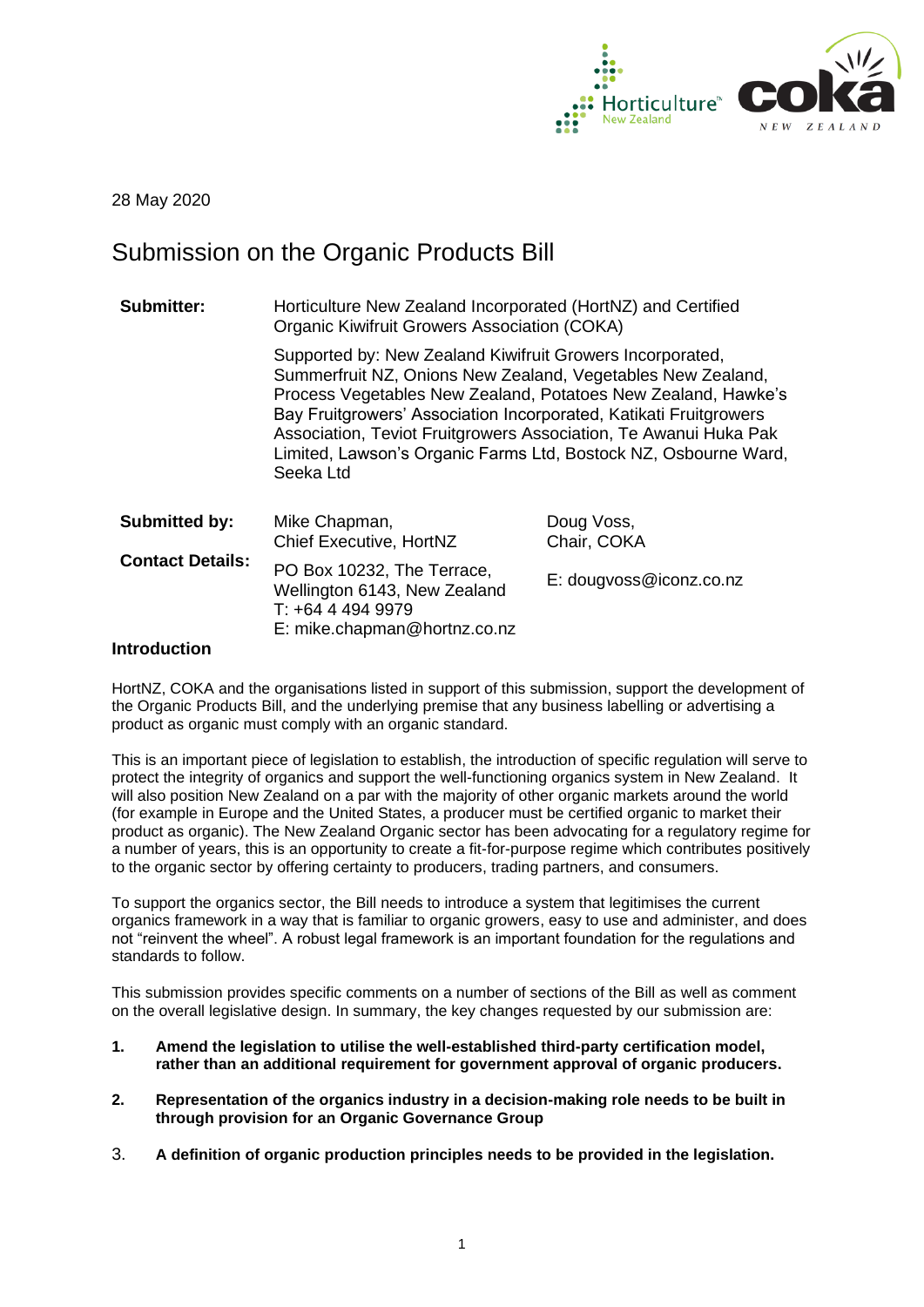

28 May 2020

# Submission on the Organic Products Bill

**Submitter:** Horticulture New Zealand Incorporated (HortNZ) and Certified Organic Kiwifruit Growers Association (COKA) Supported by: New Zealand Kiwifruit Growers Incorporated, Summerfruit NZ, Onions New Zealand, Vegetables New Zealand, Process Vegetables New Zealand, Potatoes New Zealand, Hawke's Bay Fruitgrowers' Association Incorporated, Katikati Fruitgrowers Association, Teviot Fruitgrowers Association, Te Awanui Huka Pak Limited, Lawson's Organic Farms Ltd, Bostock NZ, Osbourne Ward, Seeka Ltd **Submitted by:** Mike Chapman, Chief Executive, HortNZ Doug Voss, Chair, COKA

| <b>Contact Details:</b> | PO Box 10232, The Terrace,<br>Wellington 6143, New Zealand<br>$T: +6444949979$<br>E: mike.chapman@hortnz.co.nz | E: dougvoss@iconz.co.nz |
|-------------------------|----------------------------------------------------------------------------------------------------------------|-------------------------|
|                         |                                                                                                                |                         |

## **Introduction**

HortNZ, COKA and the organisations listed in support of this submission, support the development of the Organic Products Bill, and the underlying premise that any business labelling or advertising a product as organic must comply with an organic standard.

This is an important piece of legislation to establish, the introduction of specific regulation will serve to protect the integrity of organics and support the well-functioning organics system in New Zealand. It will also position New Zealand on a par with the majority of other organic markets around the world (for example in Europe and the United States, a producer must be certified organic to market their product as organic). The New Zealand Organic sector has been advocating for a regulatory regime for a number of years, this is an opportunity to create a fit-for-purpose regime which contributes positively to the organic sector by offering certainty to producers, trading partners, and consumers.

To support the organics sector, the Bill needs to introduce a system that legitimises the current organics framework in a way that is familiar to organic growers, easy to use and administer, and does not "reinvent the wheel". A robust legal framework is an important foundation for the regulations and standards to follow.

This submission provides specific comments on a number of sections of the Bill as well as comment on the overall legislative design. In summary, the key changes requested by our submission are:

- **1. Amend the legislation to utilise the well-established third-party certification model, rather than an additional requirement for government approval of organic producers.**
- **2. Representation of the organics industry in a decision-making role needs to be built in through provision for an Organic Governance Group**
- 3. **A definition of organic production principles needs to be provided in the legislation.**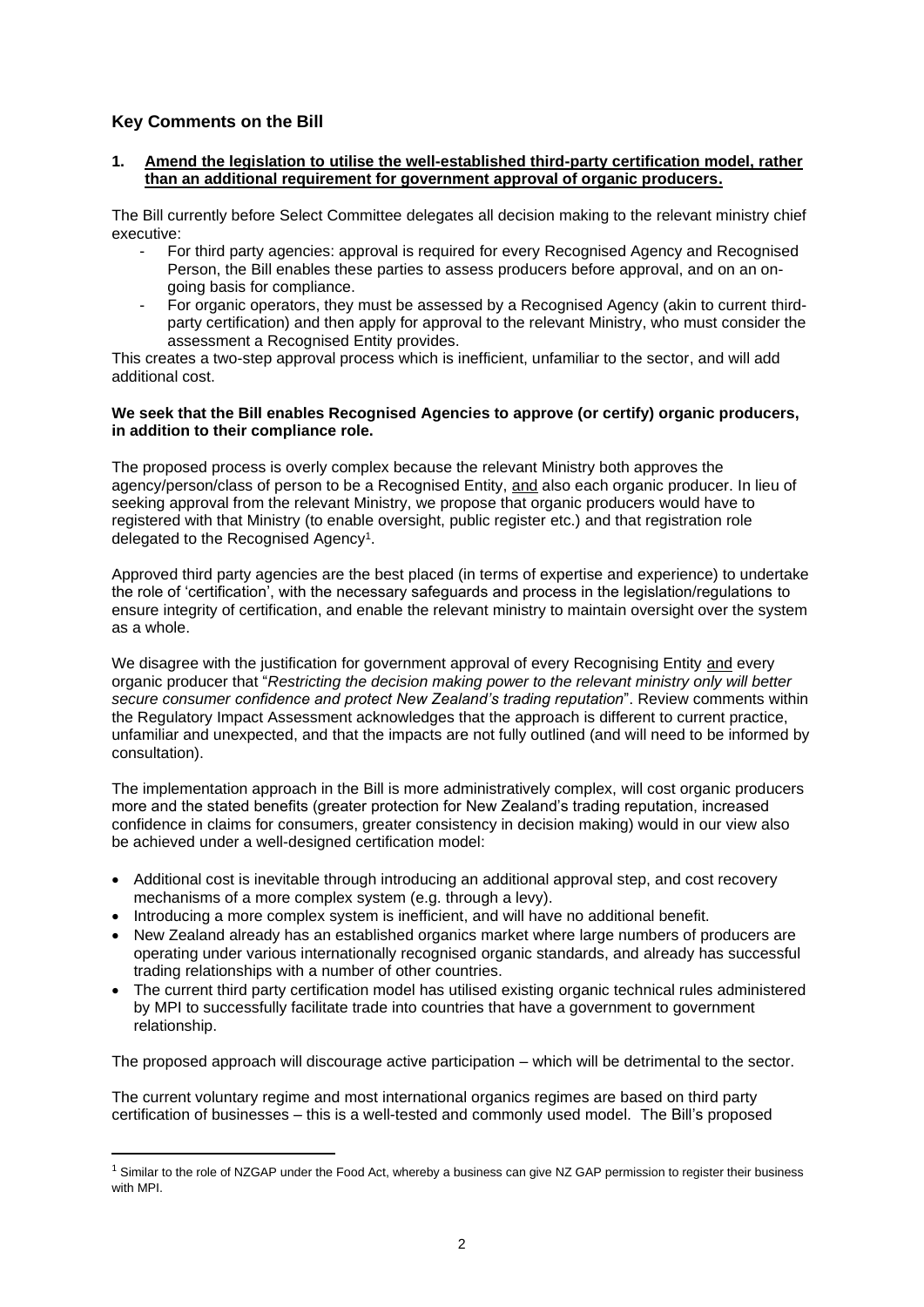# **Key Comments on the Bill**

**1. Amend the legislation to utilise the well-established third-party certification model, rather than an additional requirement for government approval of organic producers.**

The Bill currently before Select Committee delegates all decision making to the relevant ministry chief executive:

- For third party agencies: approval is required for every Recognised Agency and Recognised Person, the Bill enables these parties to assess producers before approval, and on an ongoing basis for compliance.
- For organic operators, they must be assessed by a Recognised Agency (akin to current thirdparty certification) and then apply for approval to the relevant Ministry, who must consider the assessment a Recognised Entity provides.

This creates a two-step approval process which is inefficient, unfamiliar to the sector, and will add additional cost.

#### **We seek that the Bill enables Recognised Agencies to approve (or certify) organic producers, in addition to their compliance role.**

The proposed process is overly complex because the relevant Ministry both approves the agency/person/class of person to be a Recognised Entity, and also each organic producer. In lieu of seeking approval from the relevant Ministry, we propose that organic producers would have to registered with that Ministry (to enable oversight, public register etc.) and that registration role delegated to the Recognised Agency<sup>1</sup>.

Approved third party agencies are the best placed (in terms of expertise and experience) to undertake the role of 'certification', with the necessary safeguards and process in the legislation/regulations to ensure integrity of certification, and enable the relevant ministry to maintain oversight over the system as a whole.

We disagree with the justification for government approval of every Recognising Entity and every organic producer that "*Restricting the decision making power to the relevant ministry only will better secure consumer confidence and protect New Zealand's trading reputation*". Review comments within the Regulatory Impact Assessment acknowledges that the approach is different to current practice, unfamiliar and unexpected, and that the impacts are not fully outlined (and will need to be informed by consultation).

The implementation approach in the Bill is more administratively complex, will cost organic producers more and the stated benefits (greater protection for New Zealand's trading reputation, increased confidence in claims for consumers, greater consistency in decision making) would in our view also be achieved under a well-designed certification model:

- Additional cost is inevitable through introducing an additional approval step, and cost recovery mechanisms of a more complex system (e.g. through a levy).
- Introducing a more complex system is inefficient, and will have no additional benefit.
- New Zealand already has an established organics market where large numbers of producers are operating under various internationally recognised organic standards, and already has successful trading relationships with a number of other countries.
- The current third party certification model has utilised existing organic technical rules administered by MPI to successfully facilitate trade into countries that have a government to government relationship.

The proposed approach will discourage active participation – which will be detrimental to the sector.

The current voluntary regime and most international organics regimes are based on third party certification of businesses – this is a well-tested and commonly used model. The Bill's proposed

 $1$  Similar to the role of NZGAP under the Food Act, whereby a business can give NZ GAP permission to register their business with MPI.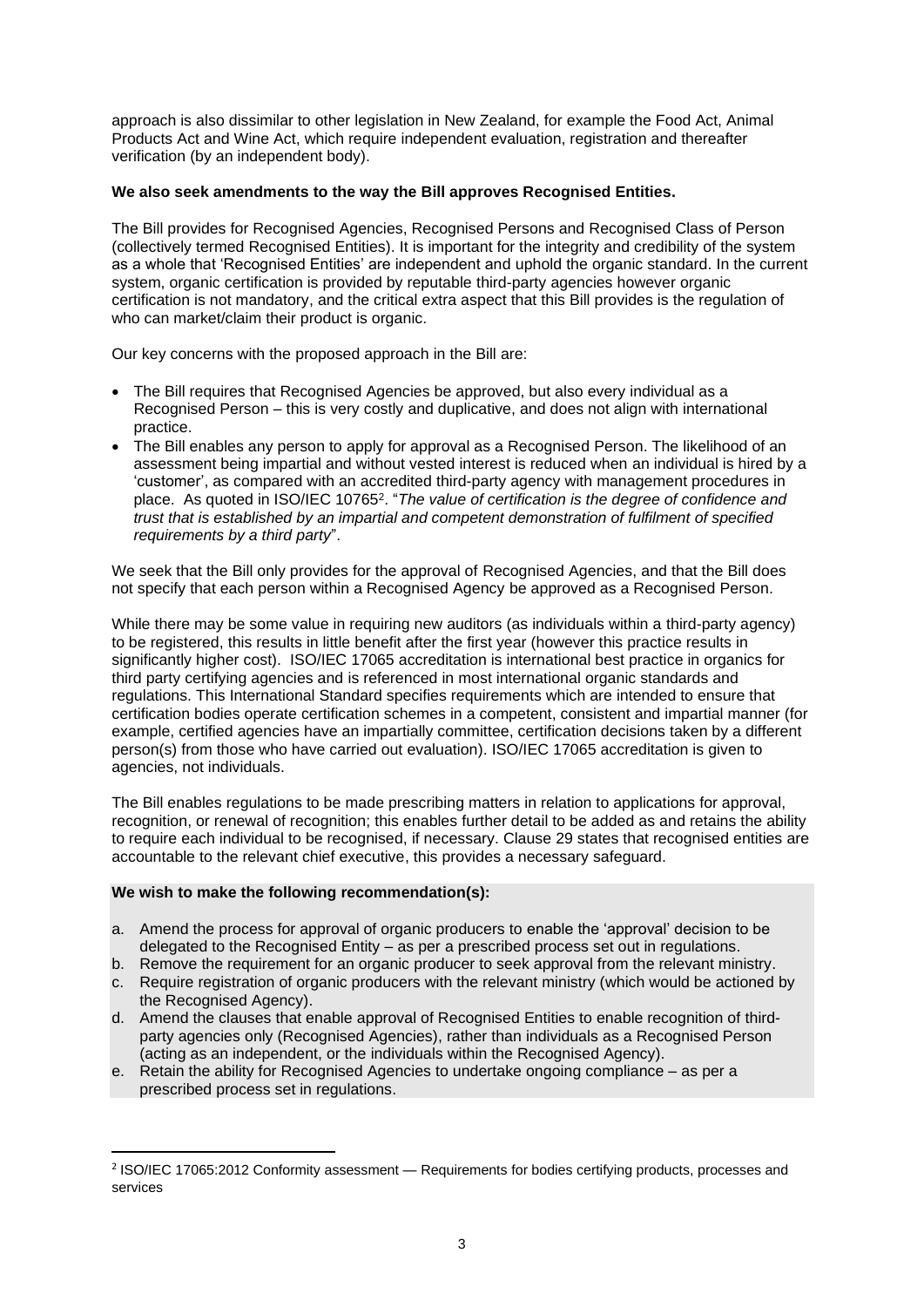approach is also dissimilar to other legislation in New Zealand, for example the Food Act, Animal Products Act and Wine Act, which require independent evaluation, registration and thereafter verification (by an independent body).

## **We also seek amendments to the way the Bill approves Recognised Entities.**

The Bill provides for Recognised Agencies, Recognised Persons and Recognised Class of Person (collectively termed Recognised Entities). It is important for the integrity and credibility of the system as a whole that 'Recognised Entities' are independent and uphold the organic standard. In the current system, organic certification is provided by reputable third-party agencies however organic certification is not mandatory, and the critical extra aspect that this Bill provides is the regulation of who can market/claim their product is organic.

Our key concerns with the proposed approach in the Bill are:

- The Bill requires that Recognised Agencies be approved, but also every individual as a Recognised Person – this is very costly and duplicative, and does not align with international practice.
- The Bill enables any person to apply for approval as a Recognised Person. The likelihood of an assessment being impartial and without vested interest is reduced when an individual is hired by a 'customer', as compared with an accredited third-party agency with management procedures in place. As quoted in ISO/IEC 10765<sup>2</sup>. "*The value of certification is the degree of confidence and trust that is established by an impartial and competent demonstration of fulfilment of specified requirements by a third party*".

We seek that the Bill only provides for the approval of Recognised Agencies, and that the Bill does not specify that each person within a Recognised Agency be approved as a Recognised Person.

While there may be some value in requiring new auditors (as individuals within a third-party agency) to be registered, this results in little benefit after the first year (however this practice results in significantly higher cost). ISO/IEC 17065 accreditation is international best practice in organics for third party certifying agencies and is referenced in most international organic standards and regulations. This International Standard specifies requirements which are intended to ensure that certification bodies operate certification schemes in a competent, consistent and impartial manner (for example, certified agencies have an impartially committee, certification decisions taken by a different person(s) from those who have carried out evaluation). ISO/IEC 17065 accreditation is given to agencies, not individuals.

The Bill enables regulations to be made prescribing matters in relation to applications for approval, recognition, or renewal of recognition; this enables further detail to be added as and retains the ability to require each individual to be recognised, if necessary. Clause 29 states that recognised entities are accountable to the relevant chief executive, this provides a necessary safeguard.

## **We wish to make the following recommendation(s):**

- a. Amend the process for approval of organic producers to enable the 'approval' decision to be delegated to the Recognised Entity – as per a prescribed process set out in regulations.
- b. Remove the requirement for an organic producer to seek approval from the relevant ministry.
- c. Require registration of organic producers with the relevant ministry (which would be actioned by the Recognised Agency).
- d. Amend the clauses that enable approval of Recognised Entities to enable recognition of thirdparty agencies only (Recognised Agencies), rather than individuals as a Recognised Person (acting as an independent, or the individuals within the Recognised Agency).
- e. Retain the ability for Recognised Agencies to undertake ongoing compliance as per a prescribed process set in regulations.

<sup>&</sup>lt;sup>2</sup> ISO/IEC 17065:2012 Conformity assessment - Requirements for bodies certifying products, processes and services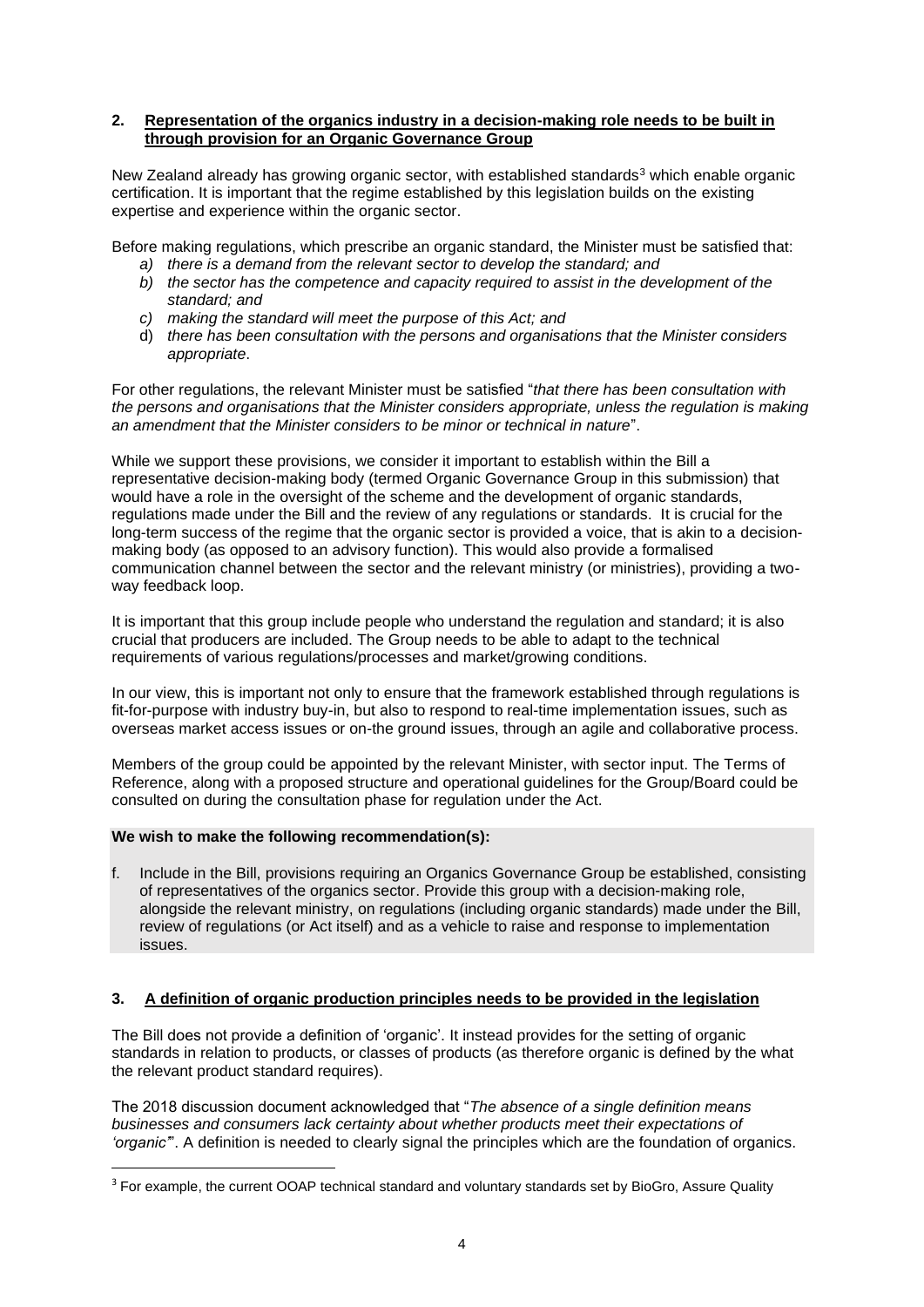#### **2. Representation of the organics industry in a decision-making role needs to be built in through provision for an Organic Governance Group**

New Zealand already has growing organic sector, with established standards<sup>3</sup> which enable organic certification. It is important that the regime established by this legislation builds on the existing expertise and experience within the organic sector.

Before making regulations, which prescribe an organic standard, the Minister must be satisfied that:

- *a) there is a demand from the relevant sector to develop the standard; and*
- *b) the sector has the competence and capacity required to assist in the development of the standard; and*
- *c) making the standard will meet the purpose of this Act; and*
- d) *there has been consultation with the persons and organisations that the Minister considers appropriate*.

For other regulations, the relevant Minister must be satisfied "*that there has been consultation with the persons and organisations that the Minister considers appropriate, unless the regulation is making an amendment that the Minister considers to be minor or technical in nature*".

While we support these provisions, we consider it important to establish within the Bill a representative decision-making body (termed Organic Governance Group in this submission) that would have a role in the oversight of the scheme and the development of organic standards, regulations made under the Bill and the review of any regulations or standards. It is crucial for the long-term success of the regime that the organic sector is provided a voice, that is akin to a decisionmaking body (as opposed to an advisory function). This would also provide a formalised communication channel between the sector and the relevant ministry (or ministries), providing a twoway feedback loop.

It is important that this group include people who understand the regulation and standard; it is also crucial that producers are included. The Group needs to be able to adapt to the technical requirements of various regulations/processes and market/growing conditions.

In our view, this is important not only to ensure that the framework established through regulations is fit-for-purpose with industry buy-in, but also to respond to real-time implementation issues, such as overseas market access issues or on-the ground issues, through an agile and collaborative process.

Members of the group could be appointed by the relevant Minister, with sector input. The Terms of Reference, along with a proposed structure and operational guidelines for the Group/Board could be consulted on during the consultation phase for regulation under the Act.

# **We wish to make the following recommendation(s):**

f. Include in the Bill, provisions requiring an Organics Governance Group be established, consisting of representatives of the organics sector. Provide this group with a decision-making role, alongside the relevant ministry, on regulations (including organic standards) made under the Bill, review of regulations (or Act itself) and as a vehicle to raise and response to implementation issues.

# **3. A definition of organic production principles needs to be provided in the legislation**

The Bill does not provide a definition of 'organic'. It instead provides for the setting of organic standards in relation to products, or classes of products (as therefore organic is defined by the what the relevant product standard requires).

The 2018 discussion document acknowledged that "*The absence of a single definition means businesses and consumers lack certainty about whether products meet their expectations of 'organic'*". A definition is needed to clearly signal the principles which are the foundation of organics.

<sup>&</sup>lt;sup>3</sup> For example, the current OOAP technical standard and voluntary standards set by BioGro, Assure Quality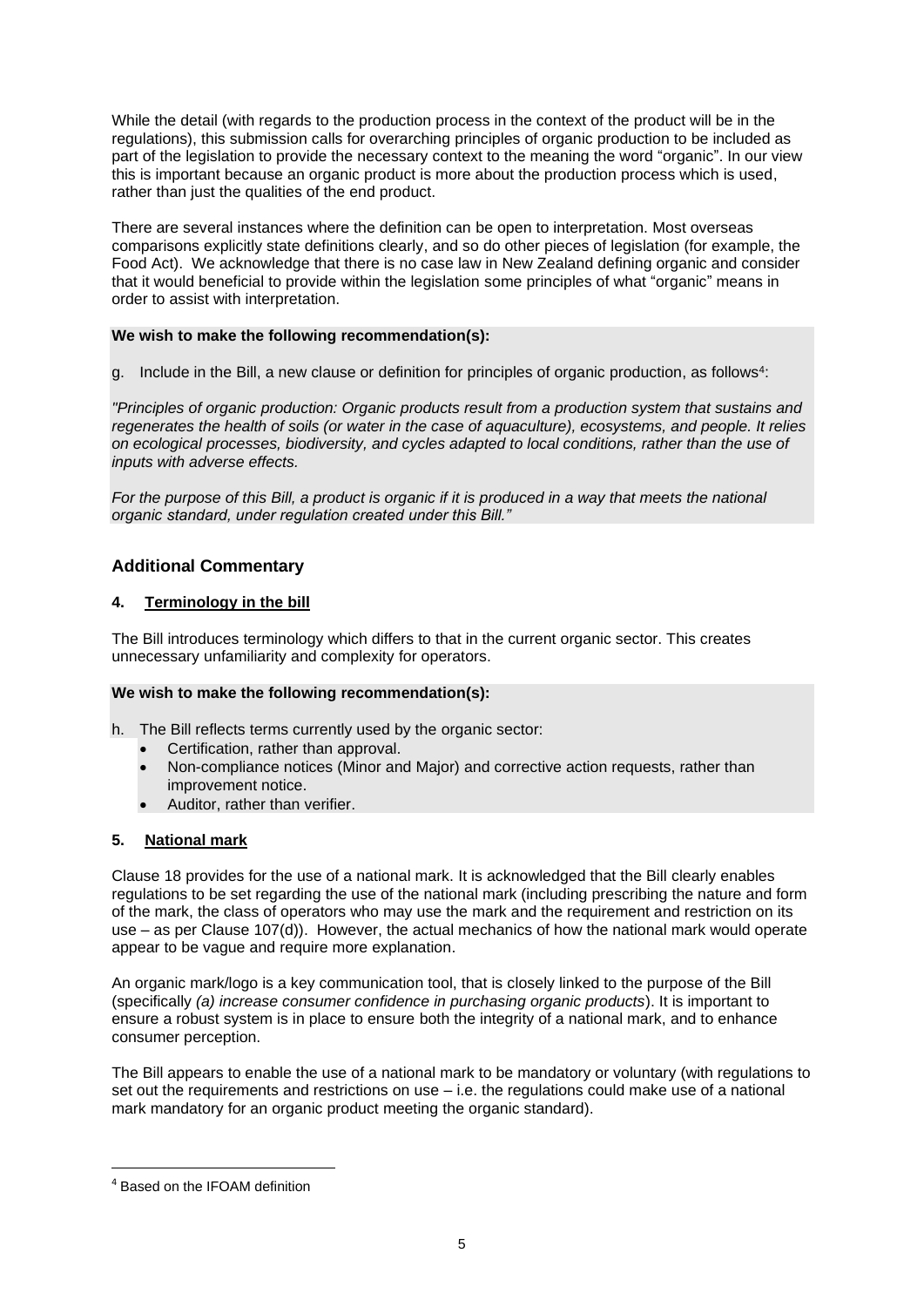While the detail (with regards to the production process in the context of the product will be in the regulations), this submission calls for overarching principles of organic production to be included as part of the legislation to provide the necessary context to the meaning the word "organic". In our view this is important because an organic product is more about the production process which is used, rather than just the qualities of the end product.

There are several instances where the definition can be open to interpretation. Most overseas comparisons explicitly state definitions clearly, and so do other pieces of legislation (for example, the Food Act). We acknowledge that there is no case law in New Zealand defining organic and consider that it would beneficial to provide within the legislation some principles of what "organic" means in order to assist with interpretation.

## **We wish to make the following recommendation(s):**

g. Include in the Bill, a new clause or definition for principles of organic production, as follows<sup>4</sup>:

*"Principles of organic production: Organic products result from a production system that sustains and regenerates the health of soils (or water in the case of aquaculture), ecosystems, and people. It relies on ecological processes, biodiversity, and cycles adapted to local conditions, rather than the use of inputs with adverse effects.*

For the purpose of this Bill, a product is organic if it is produced in a way that meets the national *organic standard, under regulation created under this Bill."*

# **Additional Commentary**

#### **4. Terminology in the bill**

The Bill introduces terminology which differs to that in the current organic sector. This creates unnecessary unfamiliarity and complexity for operators.

#### **We wish to make the following recommendation(s):**

h. The Bill reflects terms currently used by the organic sector:

- Certification, rather than approval.
- Non-compliance notices (Minor and Major) and corrective action requests, rather than improvement notice.
- Auditor, rather than verifier.

## **5. National mark**

Clause 18 provides for the use of a national mark. It is acknowledged that the Bill clearly enables regulations to be set regarding the use of the national mark (including prescribing the nature and form of the mark, the class of operators who may use the mark and the requirement and restriction on its use – as per Clause 107(d)). However, the actual mechanics of how the national mark would operate appear to be vague and require more explanation.

An organic mark/logo is a key communication tool, that is closely linked to the purpose of the Bill (specifically *(a) increase consumer confidence in purchasing organic products*). It is important to ensure a robust system is in place to ensure both the integrity of a national mark, and to enhance consumer perception.

The Bill appears to enable the use of a national mark to be mandatory or voluntary (with regulations to set out the requirements and restrictions on use – i.e. the regulations could make use of a national mark mandatory for an organic product meeting the organic standard).

<sup>4</sup> Based on the IFOAM definition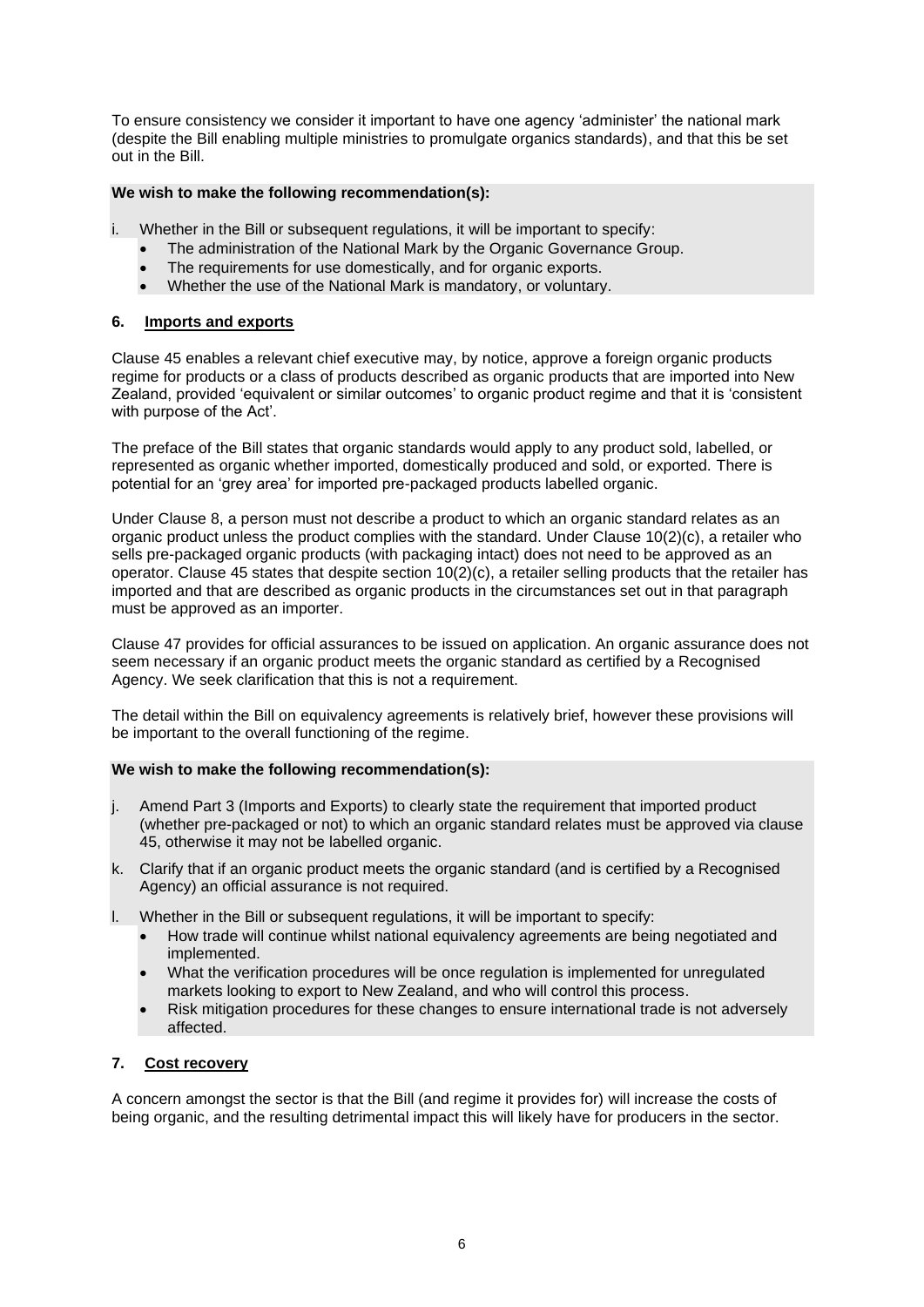To ensure consistency we consider it important to have one agency 'administer' the national mark (despite the Bill enabling multiple ministries to promulgate organics standards), and that this be set out in the Bill.

# **We wish to make the following recommendation(s):**

- i. Whether in the Bill or subsequent regulations, it will be important to specify:
	- The administration of the National Mark by the Organic Governance Group.
	- The requirements for use domestically, and for organic exports.
	- Whether the use of the National Mark is mandatory, or voluntary.

## **6. Imports and exports**

Clause 45 enables a relevant chief executive may, by notice, approve a foreign organic products regime for products or a class of products described as organic products that are imported into New Zealand, provided 'equivalent or similar outcomes' to organic product regime and that it is 'consistent with purpose of the Act'.

The preface of the Bill states that organic standards would apply to any product sold, labelled, or represented as organic whether imported, domestically produced and sold, or exported. There is potential for an 'grey area' for imported pre-packaged products labelled organic.

Under Clause 8, a person must not describe a product to which an organic standard relates as an organic product unless the product complies with the standard. Under Clause 10(2)(c), a retailer who sells pre-packaged organic products (with packaging intact) does not need to be approved as an operator. Clause 45 states that despite section  $10(2)(c)$ , a retailer selling products that the retailer has imported and that are described as organic products in the circumstances set out in that paragraph must be approved as an importer.

Clause 47 provides for official assurances to be issued on application. An organic assurance does not seem necessary if an organic product meets the organic standard as certified by a Recognised Agency. We seek clarification that this is not a requirement.

The detail within the Bill on equivalency agreements is relatively brief, however these provisions will be important to the overall functioning of the regime.

## **We wish to make the following recommendation(s):**

- j. Amend Part 3 (Imports and Exports) to clearly state the requirement that imported product (whether pre-packaged or not) to which an organic standard relates must be approved via clause 45, otherwise it may not be labelled organic.
- k. Clarify that if an organic product meets the organic standard (and is certified by a Recognised Agency) an official assurance is not required.
- l. Whether in the Bill or subsequent regulations, it will be important to specify:
	- How trade will continue whilst national equivalency agreements are being negotiated and implemented.
	- What the verification procedures will be once regulation is implemented for unregulated markets looking to export to New Zealand, and who will control this process.
	- Risk mitigation procedures for these changes to ensure international trade is not adversely affected.

## **7. Cost recovery**

A concern amongst the sector is that the Bill (and regime it provides for) will increase the costs of being organic, and the resulting detrimental impact this will likely have for producers in the sector.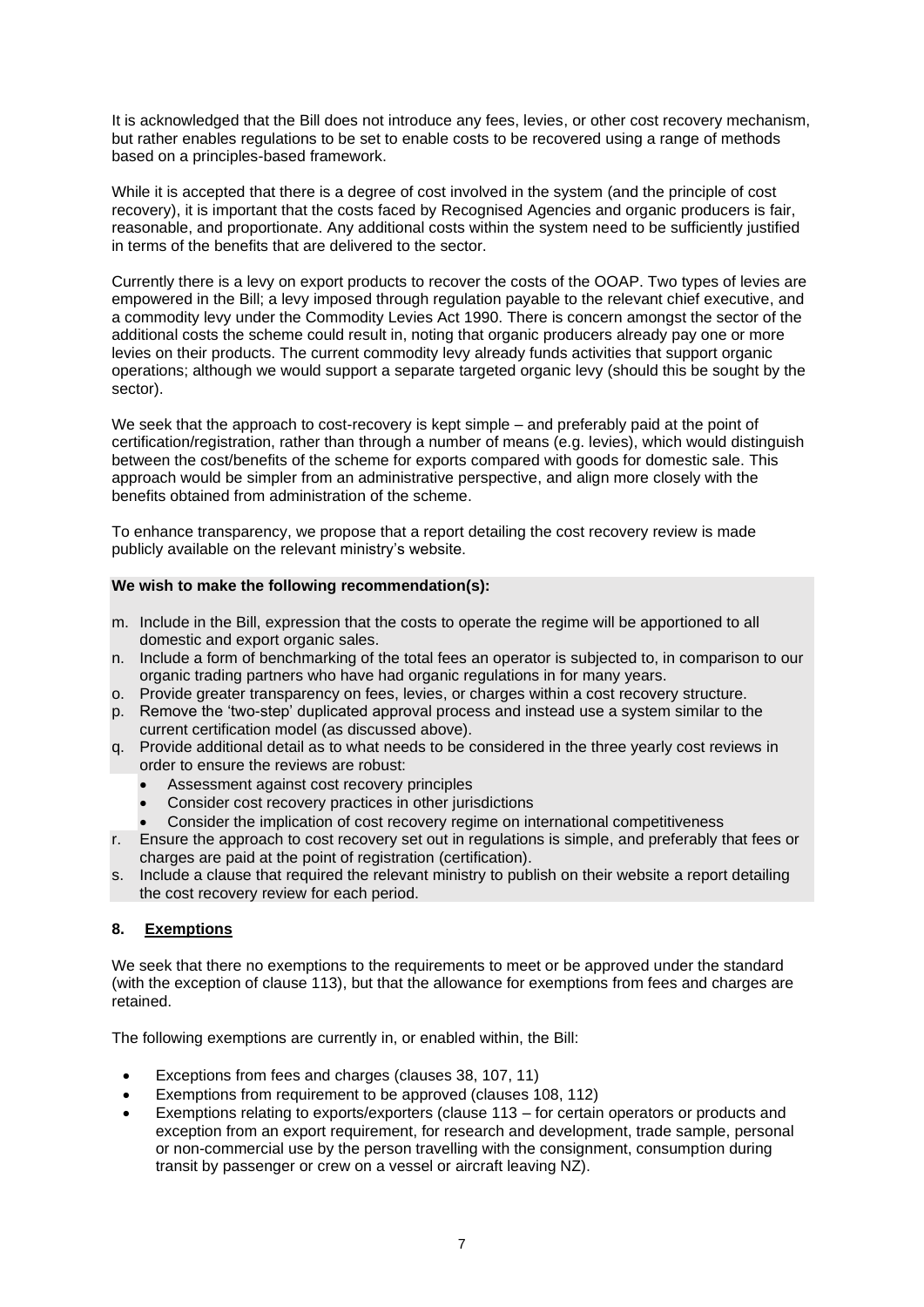It is acknowledged that the Bill does not introduce any fees, levies, or other cost recovery mechanism, but rather enables regulations to be set to enable costs to be recovered using a range of methods based on a principles-based framework.

While it is accepted that there is a degree of cost involved in the system (and the principle of cost recovery), it is important that the costs faced by Recognised Agencies and organic producers is fair, reasonable, and proportionate. Any additional costs within the system need to be sufficiently justified in terms of the benefits that are delivered to the sector.

Currently there is a levy on export products to recover the costs of the OOAP. Two types of levies are empowered in the Bill; a levy imposed through regulation payable to the relevant chief executive, and a commodity levy under the Commodity Levies Act 1990. There is concern amongst the sector of the additional costs the scheme could result in, noting that organic producers already pay one or more levies on their products. The current commodity levy already funds activities that support organic operations; although we would support a separate targeted organic levy (should this be sought by the sector).

We seek that the approach to cost-recovery is kept simple – and preferably paid at the point of certification/registration, rather than through a number of means (e.g. levies), which would distinguish between the cost/benefits of the scheme for exports compared with goods for domestic sale. This approach would be simpler from an administrative perspective, and align more closely with the benefits obtained from administration of the scheme.

To enhance transparency, we propose that a report detailing the cost recovery review is made publicly available on the relevant ministry's website.

#### **We wish to make the following recommendation(s):**

- m. Include in the Bill, expression that the costs to operate the regime will be apportioned to all domestic and export organic sales.
- n. Include a form of benchmarking of the total fees an operator is subjected to, in comparison to our organic trading partners who have had organic regulations in for many years.
- o. Provide greater transparency on fees, levies, or charges within a cost recovery structure.
- p. Remove the 'two-step' duplicated approval process and instead use a system similar to the current certification model (as discussed above).
- q. Provide additional detail as to what needs to be considered in the three yearly cost reviews in order to ensure the reviews are robust:
	- Assessment against cost recovery principles
	- Consider cost recovery practices in other jurisdictions
	- Consider the implication of cost recovery regime on international competitiveness
- r. Ensure the approach to cost recovery set out in regulations is simple, and preferably that fees or charges are paid at the point of registration (certification).
- s. Include a clause that required the relevant ministry to publish on their website a report detailing the cost recovery review for each period.

## **8. Exemptions**

We seek that there no exemptions to the requirements to meet or be approved under the standard (with the exception of clause 113), but that the allowance for exemptions from fees and charges are retained.

The following exemptions are currently in, or enabled within, the Bill:

- Exceptions from fees and charges (clauses 38, 107, 11)
- Exemptions from requirement to be approved (clauses 108, 112)
- Exemptions relating to exports/exporters (clause 113 for certain operators or products and exception from an export requirement, for research and development, trade sample, personal or non-commercial use by the person travelling with the consignment, consumption during transit by passenger or crew on a vessel or aircraft leaving NZ).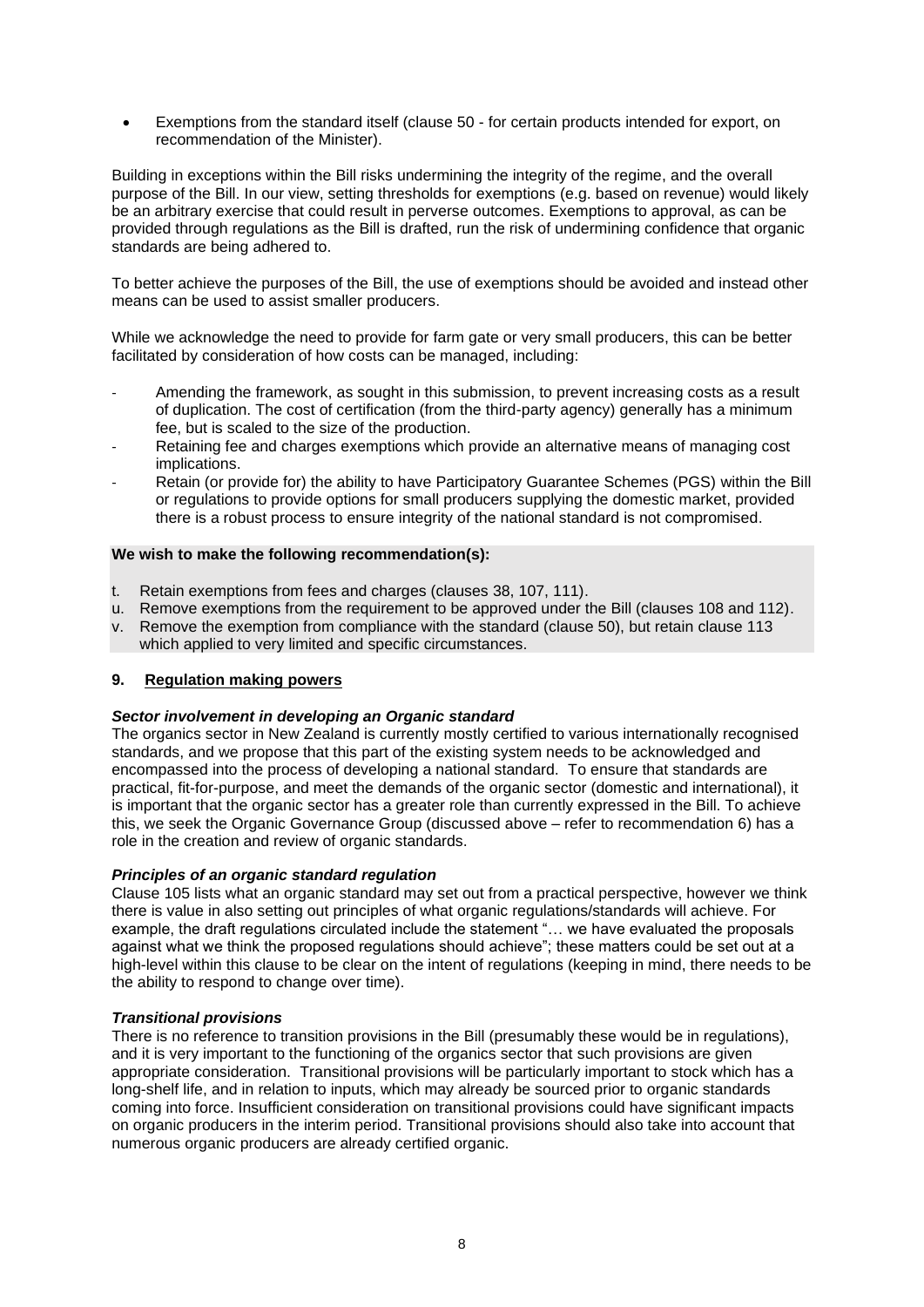• Exemptions from the standard itself (clause 50 - for certain products intended for export, on recommendation of the Minister).

Building in exceptions within the Bill risks undermining the integrity of the regime, and the overall purpose of the Bill. In our view, setting thresholds for exemptions (e.g. based on revenue) would likely be an arbitrary exercise that could result in perverse outcomes. Exemptions to approval, as can be provided through regulations as the Bill is drafted, run the risk of undermining confidence that organic standards are being adhered to.

To better achieve the purposes of the Bill, the use of exemptions should be avoided and instead other means can be used to assist smaller producers.

While we acknowledge the need to provide for farm gate or very small producers, this can be better facilitated by consideration of how costs can be managed, including:

- Amending the framework, as sought in this submission, to prevent increasing costs as a result of duplication. The cost of certification (from the third-party agency) generally has a minimum fee, but is scaled to the size of the production.
- Retaining fee and charges exemptions which provide an alternative means of managing cost implications.
- Retain (or provide for) the ability to have Participatory Guarantee Schemes (PGS) within the Bill or regulations to provide options for small producers supplying the domestic market, provided there is a robust process to ensure integrity of the national standard is not compromised.

## **We wish to make the following recommendation(s):**

- t. Retain exemptions from fees and charges (clauses 38, 107, 111).
- u. Remove exemptions from the requirement to be approved under the Bill (clauses 108 and 112).
- v. Remove the exemption from compliance with the standard (clause 50), but retain clause 113 which applied to very limited and specific circumstances.

#### **9. Regulation making powers**

#### *Sector involvement in developing an Organic standard*

The organics sector in New Zealand is currently mostly certified to various internationally recognised standards, and we propose that this part of the existing system needs to be acknowledged and encompassed into the process of developing a national standard. To ensure that standards are practical, fit-for-purpose, and meet the demands of the organic sector (domestic and international), it is important that the organic sector has a greater role than currently expressed in the Bill. To achieve this, we seek the Organic Governance Group (discussed above – refer to recommendation 6) has a role in the creation and review of organic standards.

#### *Principles of an organic standard regulation*

Clause 105 lists what an organic standard may set out from a practical perspective, however we think there is value in also setting out principles of what organic regulations/standards will achieve. For example, the draft regulations circulated include the statement "… we have evaluated the proposals against what we think the proposed regulations should achieve"; these matters could be set out at a high-level within this clause to be clear on the intent of regulations (keeping in mind, there needs to be the ability to respond to change over time).

## *Transitional provisions*

There is no reference to transition provisions in the Bill (presumably these would be in regulations), and it is very important to the functioning of the organics sector that such provisions are given appropriate consideration. Transitional provisions will be particularly important to stock which has a long-shelf life, and in relation to inputs, which may already be sourced prior to organic standards coming into force. Insufficient consideration on transitional provisions could have significant impacts on organic producers in the interim period. Transitional provisions should also take into account that numerous organic producers are already certified organic.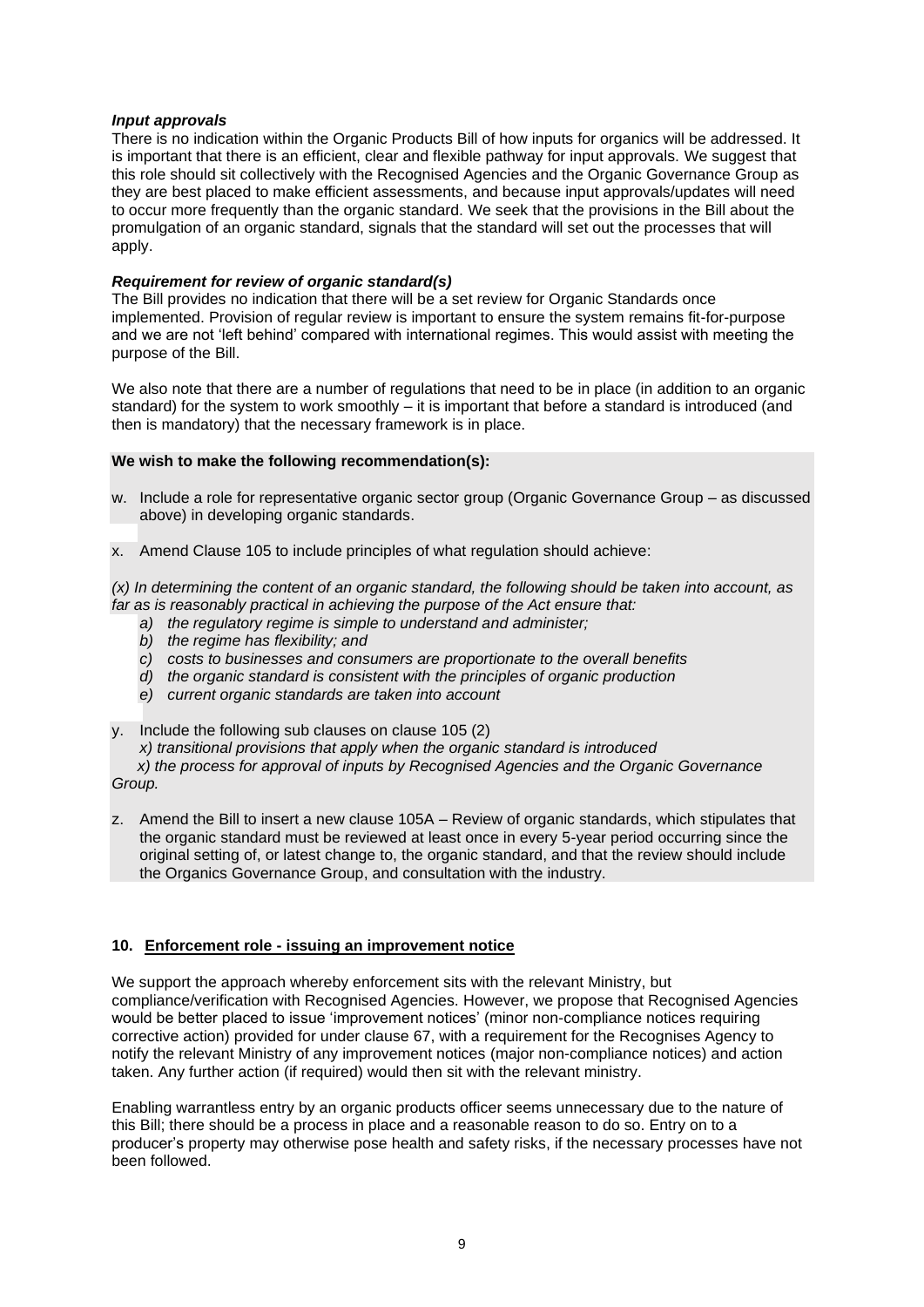#### *Input approvals*

There is no indication within the Organic Products Bill of how inputs for organics will be addressed. It is important that there is an efficient, clear and flexible pathway for input approvals. We suggest that this role should sit collectively with the Recognised Agencies and the Organic Governance Group as they are best placed to make efficient assessments, and because input approvals/updates will need to occur more frequently than the organic standard. We seek that the provisions in the Bill about the promulgation of an organic standard, signals that the standard will set out the processes that will apply.

## *Requirement for review of organic standard(s)*

The Bill provides no indication that there will be a set review for Organic Standards once implemented. Provision of regular review is important to ensure the system remains fit-for-purpose and we are not 'left behind' compared with international regimes. This would assist with meeting the purpose of the Bill.

We also note that there are a number of regulations that need to be in place (in addition to an organic standard) for the system to work smoothly – it is important that before a standard is introduced (and then is mandatory) that the necessary framework is in place.

#### **We wish to make the following recommendation(s):**

- w. Include a role for representative organic sector group (Organic Governance Group as discussed above) in developing organic standards.
- x. Amend Clause 105 to include principles of what regulation should achieve:

*(x) In determining the content of an organic standard, the following should be taken into account, as far as is reasonably practical in achieving the purpose of the Act ensure that:*

- *a) the regulatory regime is simple to understand and administer;*
- *b) the regime has flexibility; and*
- *c) costs to businesses and consumers are proportionate to the overall benefits*
- *d) the organic standard is consistent with the principles of organic production*
- *e) current organic standards are taken into account*

y. Include the following sub clauses on clause 105 (2)

*x) transitional provisions that apply when the organic standard is introduced*

 *x) the process for approval of inputs by Recognised Agencies and the Organic Governance Group.*

z. Amend the Bill to insert a new clause 105A – Review of organic standards, which stipulates that the organic standard must be reviewed at least once in every 5-year period occurring since the original setting of, or latest change to, the organic standard, and that the review should include the Organics Governance Group, and consultation with the industry.

## **10. Enforcement role - issuing an improvement notice**

We support the approach whereby enforcement sits with the relevant Ministry, but compliance/verification with Recognised Agencies. However, we propose that Recognised Agencies would be better placed to issue 'improvement notices' (minor non-compliance notices requiring corrective action) provided for under clause 67, with a requirement for the Recognises Agency to notify the relevant Ministry of any improvement notices (major non-compliance notices) and action taken. Any further action (if required) would then sit with the relevant ministry.

Enabling warrantless entry by an organic products officer seems unnecessary due to the nature of this Bill; there should be a process in place and a reasonable reason to do so. Entry on to a producer's property may otherwise pose health and safety risks, if the necessary processes have not been followed.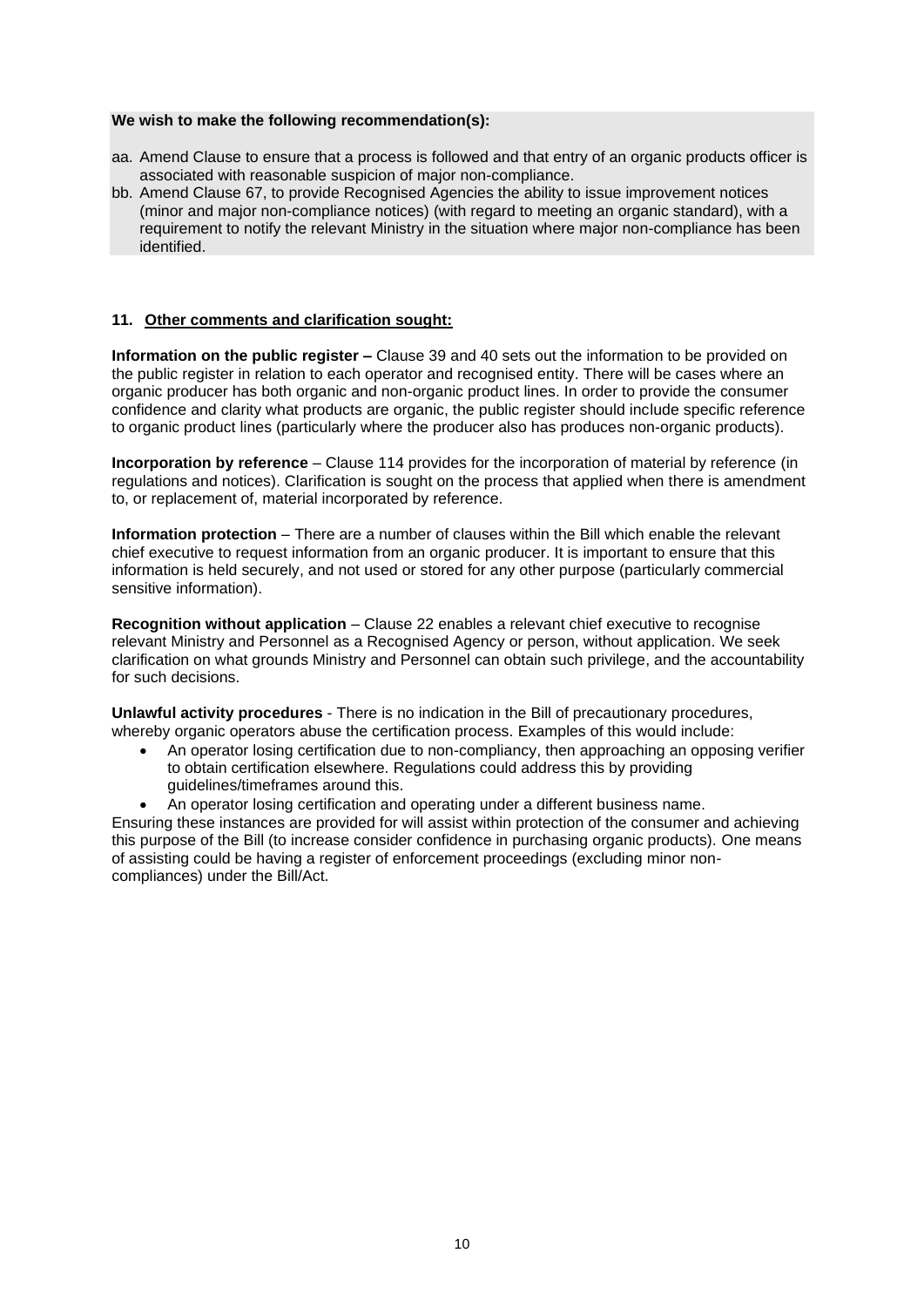#### **We wish to make the following recommendation(s):**

- aa. Amend Clause to ensure that a process is followed and that entry of an organic products officer is associated with reasonable suspicion of major non-compliance.
- bb. Amend Clause 67, to provide Recognised Agencies the ability to issue improvement notices (minor and major non-compliance notices) (with regard to meeting an organic standard), with a requirement to notify the relevant Ministry in the situation where major non-compliance has been identified.

## **11. Other comments and clarification sought:**

**Information on the public register –** Clause 39 and 40 sets out the information to be provided on the public register in relation to each operator and recognised entity. There will be cases where an organic producer has both organic and non-organic product lines. In order to provide the consumer confidence and clarity what products are organic, the public register should include specific reference to organic product lines (particularly where the producer also has produces non-organic products).

**Incorporation by reference** – Clause 114 provides for the incorporation of material by reference (in regulations and notices). Clarification is sought on the process that applied when there is amendment to, or replacement of, material incorporated by reference.

**Information protection** – There are a number of clauses within the Bill which enable the relevant chief executive to request information from an organic producer. It is important to ensure that this information is held securely, and not used or stored for any other purpose (particularly commercial sensitive information).

**Recognition without application** – Clause 22 enables a relevant chief executive to recognise relevant Ministry and Personnel as a Recognised Agency or person, without application. We seek clarification on what grounds Ministry and Personnel can obtain such privilege, and the accountability for such decisions.

**Unlawful activity procedures** - There is no indication in the Bill of precautionary procedures, whereby organic operators abuse the certification process. Examples of this would include:

- An operator losing certification due to non-compliancy, then approaching an opposing verifier to obtain certification elsewhere. Regulations could address this by providing guidelines/timeframes around this.
- An operator losing certification and operating under a different business name.

Ensuring these instances are provided for will assist within protection of the consumer and achieving this purpose of the Bill (to increase consider confidence in purchasing organic products). One means of assisting could be having a register of enforcement proceedings (excluding minor noncompliances) under the Bill/Act.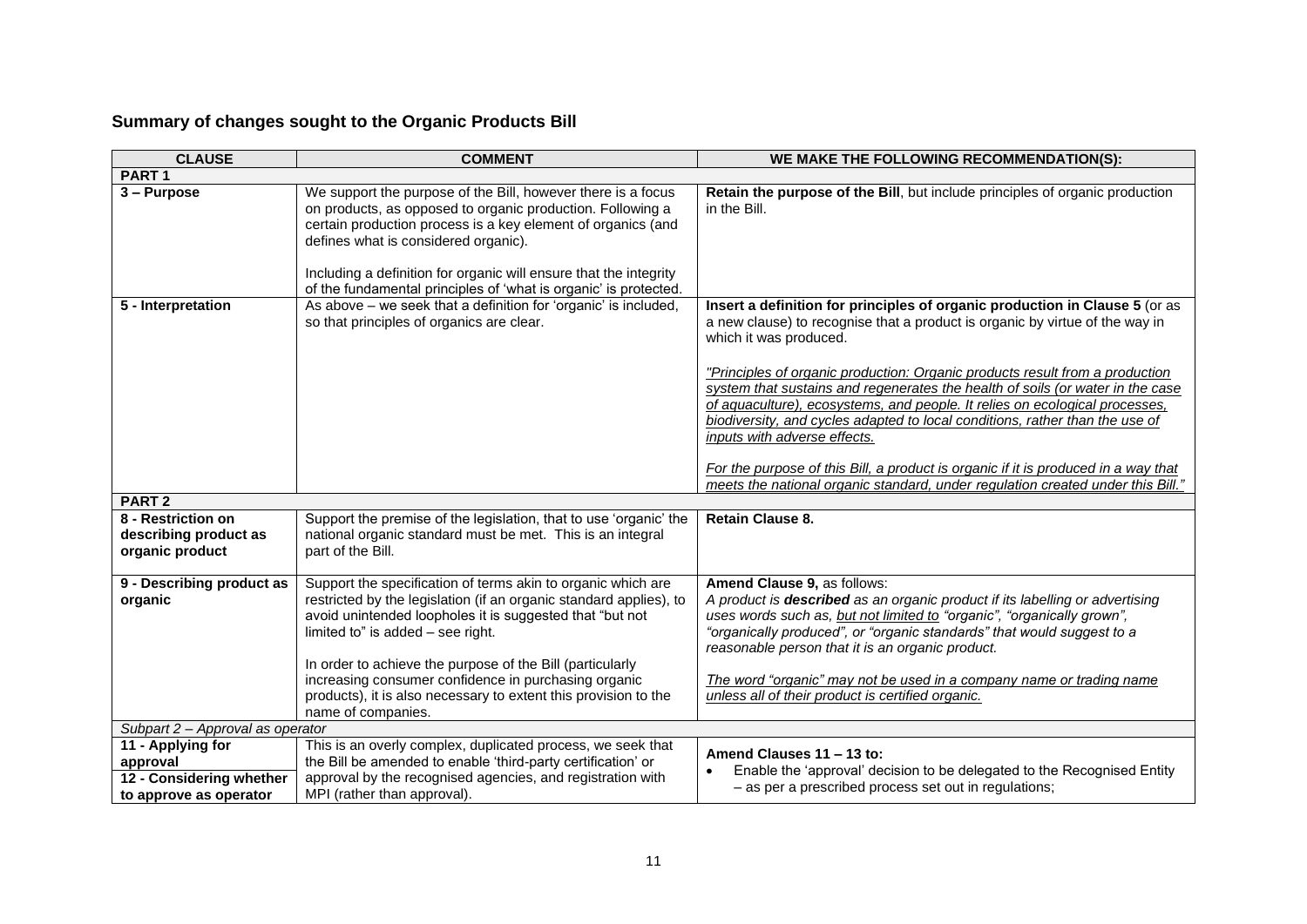# **Summary of changes sought to the Organic Products Bill**

| <b>CLAUSE</b>                                                                       | <b>COMMENT</b>                                                                                                                                                                                                                                                                                                                                                              | WE MAKE THE FOLLOWING RECOMMENDATION(S):                                                                                                                                                                                                                                                                                                                |
|-------------------------------------------------------------------------------------|-----------------------------------------------------------------------------------------------------------------------------------------------------------------------------------------------------------------------------------------------------------------------------------------------------------------------------------------------------------------------------|---------------------------------------------------------------------------------------------------------------------------------------------------------------------------------------------------------------------------------------------------------------------------------------------------------------------------------------------------------|
| PART <sub>1</sub>                                                                   |                                                                                                                                                                                                                                                                                                                                                                             |                                                                                                                                                                                                                                                                                                                                                         |
| 3 - Purpose                                                                         | We support the purpose of the Bill, however there is a focus<br>on products, as opposed to organic production. Following a<br>certain production process is a key element of organics (and<br>defines what is considered organic).<br>Including a definition for organic will ensure that the integrity<br>of the fundamental principles of 'what is organic' is protected. | Retain the purpose of the Bill, but include principles of organic production<br>in the Bill.                                                                                                                                                                                                                                                            |
| 5 - Interpretation                                                                  | As above - we seek that a definition for 'organic' is included,<br>so that principles of organics are clear.                                                                                                                                                                                                                                                                | Insert a definition for principles of organic production in Clause 5 (or as<br>a new clause) to recognise that a product is organic by virtue of the way in<br>which it was produced.<br>"Principles of organic production: Organic products result from a production<br>system that sustains and regenerates the health of soils (or water in the case |
|                                                                                     |                                                                                                                                                                                                                                                                                                                                                                             | of aquaculture), ecosystems, and people. It relies on ecological processes,<br>biodiversity, and cycles adapted to local conditions, rather than the use of<br>inputs with adverse effects.                                                                                                                                                             |
|                                                                                     |                                                                                                                                                                                                                                                                                                                                                                             | For the purpose of this Bill, a product is organic if it is produced in a way that<br>meets the national organic standard, under regulation created under this Bill."                                                                                                                                                                                   |
| PART <sub>2</sub>                                                                   |                                                                                                                                                                                                                                                                                                                                                                             |                                                                                                                                                                                                                                                                                                                                                         |
| 8 - Restriction on<br>describing product as<br>organic product                      | Support the premise of the legislation, that to use 'organic' the<br>national organic standard must be met. This is an integral<br>part of the Bill.                                                                                                                                                                                                                        | <b>Retain Clause 8.</b>                                                                                                                                                                                                                                                                                                                                 |
| 9 - Describing product as<br>organic                                                | Support the specification of terms akin to organic which are<br>restricted by the legislation (if an organic standard applies), to<br>avoid unintended loopholes it is suggested that "but not<br>limited to" is added - see right.<br>In order to achieve the purpose of the Bill (particularly                                                                            | Amend Clause 9, as follows:<br>A product is described as an organic product if its labelling or advertising<br>uses words such as, but not limited to "organic", "organically grown",<br>"organically produced", or "organic standards" that would suggest to a<br>reasonable person that it is an organic product.                                     |
|                                                                                     | increasing consumer confidence in purchasing organic<br>products), it is also necessary to extent this provision to the<br>name of companies.                                                                                                                                                                                                                               | The word "organic" may not be used in a company name or trading name<br>unless all of their product is certified organic.                                                                                                                                                                                                                               |
| Subpart 2 - Approval as operator                                                    |                                                                                                                                                                                                                                                                                                                                                                             |                                                                                                                                                                                                                                                                                                                                                         |
| 11 - Applying for<br>approval<br>12 - Considering whether<br>to approve as operator | This is an overly complex, duplicated process, we seek that<br>the Bill be amended to enable 'third-party certification' or<br>approval by the recognised agencies, and registration with<br>MPI (rather than approval).                                                                                                                                                    | Amend Clauses 11 - 13 to:<br>Enable the 'approval' decision to be delegated to the Recognised Entity<br>- as per a prescribed process set out in regulations;                                                                                                                                                                                           |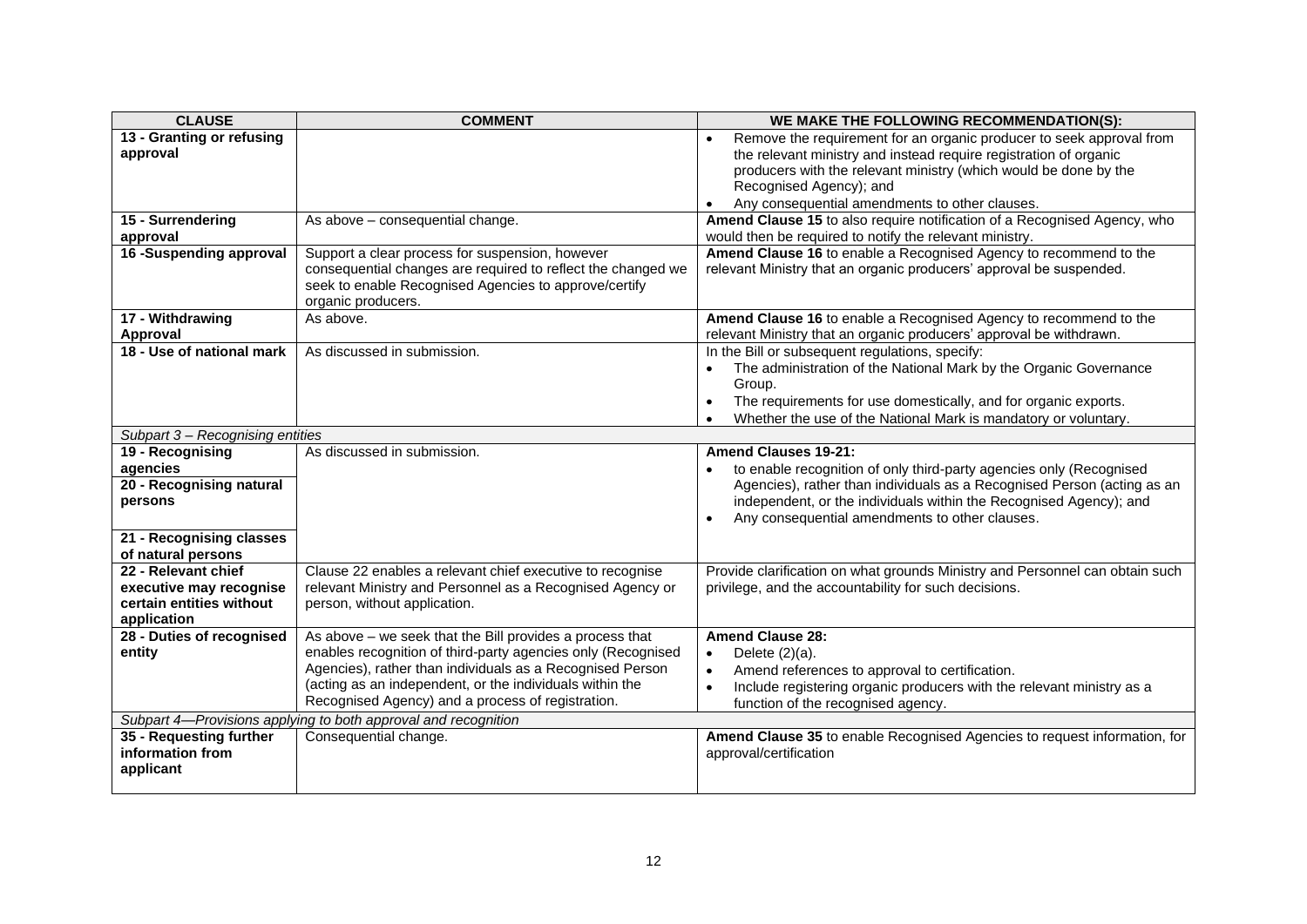| <b>CLAUSE</b>                                                                             | <b>COMMENT</b>                                                                                                                                                                                                                                                                                         | WE MAKE THE FOLLOWING RECOMMENDATION(S):                                                                                                                                                                                                                                          |
|-------------------------------------------------------------------------------------------|--------------------------------------------------------------------------------------------------------------------------------------------------------------------------------------------------------------------------------------------------------------------------------------------------------|-----------------------------------------------------------------------------------------------------------------------------------------------------------------------------------------------------------------------------------------------------------------------------------|
| 13 - Granting or refusing<br>approval                                                     |                                                                                                                                                                                                                                                                                                        | Remove the requirement for an organic producer to seek approval from<br>$\bullet$<br>the relevant ministry and instead require registration of organic<br>producers with the relevant ministry (which would be done by the<br>Recognised Agency); and                             |
|                                                                                           |                                                                                                                                                                                                                                                                                                        | Any consequential amendments to other clauses.                                                                                                                                                                                                                                    |
| 15 - Surrendering<br>approval                                                             | As above - consequential change.                                                                                                                                                                                                                                                                       | Amend Clause 15 to also require notification of a Recognised Agency, who<br>would then be required to notify the relevant ministry.                                                                                                                                               |
| 16 -Suspending approval                                                                   | Support a clear process for suspension, however<br>consequential changes are required to reflect the changed we<br>seek to enable Recognised Agencies to approve/certify<br>organic producers.                                                                                                         | Amend Clause 16 to enable a Recognised Agency to recommend to the<br>relevant Ministry that an organic producers' approval be suspended.                                                                                                                                          |
| 17 - Withdrawing<br>Approval                                                              | As above.                                                                                                                                                                                                                                                                                              | Amend Clause 16 to enable a Recognised Agency to recommend to the<br>relevant Ministry that an organic producers' approval be withdrawn.                                                                                                                                          |
| 18 - Use of national mark                                                                 | As discussed in submission.                                                                                                                                                                                                                                                                            | In the Bill or subsequent regulations, specify:<br>The administration of the National Mark by the Organic Governance<br>Group.<br>The requirements for use domestically, and for organic exports.<br>$\bullet$<br>Whether the use of the National Mark is mandatory or voluntary. |
| Subpart 3 - Recognising entities                                                          |                                                                                                                                                                                                                                                                                                        |                                                                                                                                                                                                                                                                                   |
| 19 - Recognising<br>agencies                                                              | As discussed in submission.                                                                                                                                                                                                                                                                            | <b>Amend Clauses 19-21:</b><br>to enable recognition of only third-party agencies only (Recognised<br>$\bullet$                                                                                                                                                                   |
| 20 - Recognising natural<br>persons                                                       |                                                                                                                                                                                                                                                                                                        | Agencies), rather than individuals as a Recognised Person (acting as an<br>independent, or the individuals within the Recognised Agency); and<br>Any consequential amendments to other clauses.                                                                                   |
| 21 - Recognising classes<br>of natural persons                                            |                                                                                                                                                                                                                                                                                                        |                                                                                                                                                                                                                                                                                   |
| 22 - Relevant chief<br>executive may recognise<br>certain entities without<br>application | Clause 22 enables a relevant chief executive to recognise<br>relevant Ministry and Personnel as a Recognised Agency or<br>person, without application.                                                                                                                                                 | Provide clarification on what grounds Ministry and Personnel can obtain such<br>privilege, and the accountability for such decisions.                                                                                                                                             |
| 28 - Duties of recognised<br>entity                                                       | As above - we seek that the Bill provides a process that<br>enables recognition of third-party agencies only (Recognised<br>Agencies), rather than individuals as a Recognised Person<br>(acting as an independent, or the individuals within the<br>Recognised Agency) and a process of registration. | <b>Amend Clause 28:</b><br>Delete $(2)(a)$ .<br>$\bullet$<br>Amend references to approval to certification.<br>$\bullet$<br>Include registering organic producers with the relevant ministry as a<br>$\bullet$<br>function of the recognised agency.                              |
| Subpart 4-Provisions applying to both approval and recognition                            |                                                                                                                                                                                                                                                                                                        |                                                                                                                                                                                                                                                                                   |
| 35 - Requesting further<br>information from<br>applicant                                  | Consequential change.                                                                                                                                                                                                                                                                                  | Amend Clause 35 to enable Recognised Agencies to request information, for<br>approval/certification                                                                                                                                                                               |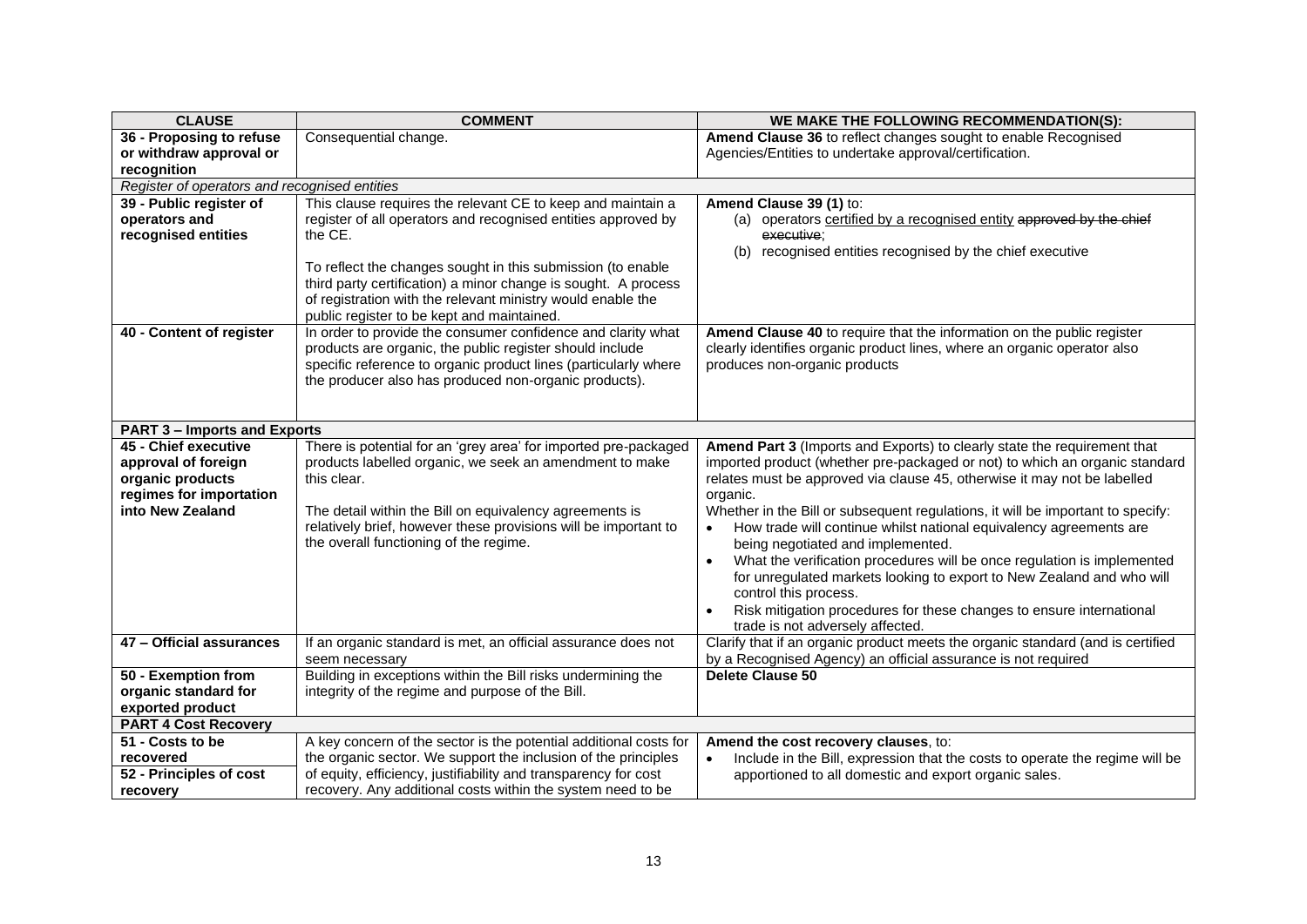| <b>CLAUSE</b>                                 | <b>COMMENT</b>                                                    | WE MAKE THE FOLLOWING RECOMMENDATION(S):                                                  |
|-----------------------------------------------|-------------------------------------------------------------------|-------------------------------------------------------------------------------------------|
| 36 - Proposing to refuse                      | Consequential change.                                             | Amend Clause 36 to reflect changes sought to enable Recognised                            |
| or withdraw approval or                       |                                                                   | Agencies/Entities to undertake approval/certification.                                    |
| recognition                                   |                                                                   |                                                                                           |
| Register of operators and recognised entities |                                                                   |                                                                                           |
| 39 - Public register of                       | This clause requires the relevant CE to keep and maintain a       | Amend Clause 39 (1) to:                                                                   |
| operators and                                 | register of all operators and recognised entities approved by     | (a) operators certified by a recognised entity approved by the chief                      |
| recognised entities                           | the CE.                                                           | executive:                                                                                |
|                                               |                                                                   | recognised entities recognised by the chief executive<br>(b)                              |
|                                               | To reflect the changes sought in this submission (to enable       |                                                                                           |
|                                               | third party certification) a minor change is sought. A process    |                                                                                           |
|                                               | of registration with the relevant ministry would enable the       |                                                                                           |
|                                               | public register to be kept and maintained.                        |                                                                                           |
| 40 - Content of register                      | In order to provide the consumer confidence and clarity what      | Amend Clause 40 to require that the information on the public register                    |
|                                               | products are organic, the public register should include          | clearly identifies organic product lines, where an organic operator also                  |
|                                               | specific reference to organic product lines (particularly where   | produces non-organic products                                                             |
|                                               | the producer also has produced non-organic products).             |                                                                                           |
|                                               |                                                                   |                                                                                           |
| <b>PART 3 - Imports and Exports</b>           |                                                                   |                                                                                           |
| 45 - Chief executive                          | There is potential for an 'grey area' for imported pre-packaged   | Amend Part 3 (Imports and Exports) to clearly state the requirement that                  |
| approval of foreign                           | products labelled organic, we seek an amendment to make           | imported product (whether pre-packaged or not) to which an organic standard               |
| organic products                              | this clear.                                                       | relates must be approved via clause 45, otherwise it may not be labelled                  |
| regimes for importation                       |                                                                   | organic.                                                                                  |
| into New Zealand                              | The detail within the Bill on equivalency agreements is           | Whether in the Bill or subsequent regulations, it will be important to specify:           |
|                                               | relatively brief, however these provisions will be important to   | How trade will continue whilst national equivalency agreements are                        |
|                                               | the overall functioning of the regime.                            | being negotiated and implemented.                                                         |
|                                               |                                                                   | What the verification procedures will be once regulation is implemented                   |
|                                               |                                                                   | for unregulated markets looking to export to New Zealand and who will                     |
|                                               |                                                                   | control this process.                                                                     |
|                                               |                                                                   | Risk mitigation procedures for these changes to ensure international                      |
|                                               |                                                                   | trade is not adversely affected.                                                          |
| 47 - Official assurances                      | If an organic standard is met, an official assurance does not     | Clarify that if an organic product meets the organic standard (and is certified           |
|                                               | seem necessary                                                    | by a Recognised Agency) an official assurance is not required                             |
| 50 - Exemption from                           | Building in exceptions within the Bill risks undermining the      | <b>Delete Clause 50</b>                                                                   |
| organic standard for                          | integrity of the regime and purpose of the Bill.                  |                                                                                           |
| exported product                              |                                                                   |                                                                                           |
| <b>PART 4 Cost Recovery</b>                   |                                                                   |                                                                                           |
| 51 - Costs to be                              | A key concern of the sector is the potential additional costs for | Amend the cost recovery clauses, to:                                                      |
| recovered                                     | the organic sector. We support the inclusion of the principles    | Include in the Bill, expression that the costs to operate the regime will be<br>$\bullet$ |
| 52 - Principles of cost                       | of equity, efficiency, justifiability and transparency for cost   | apportioned to all domestic and export organic sales.                                     |
| recovery                                      | recovery. Any additional costs within the system need to be       |                                                                                           |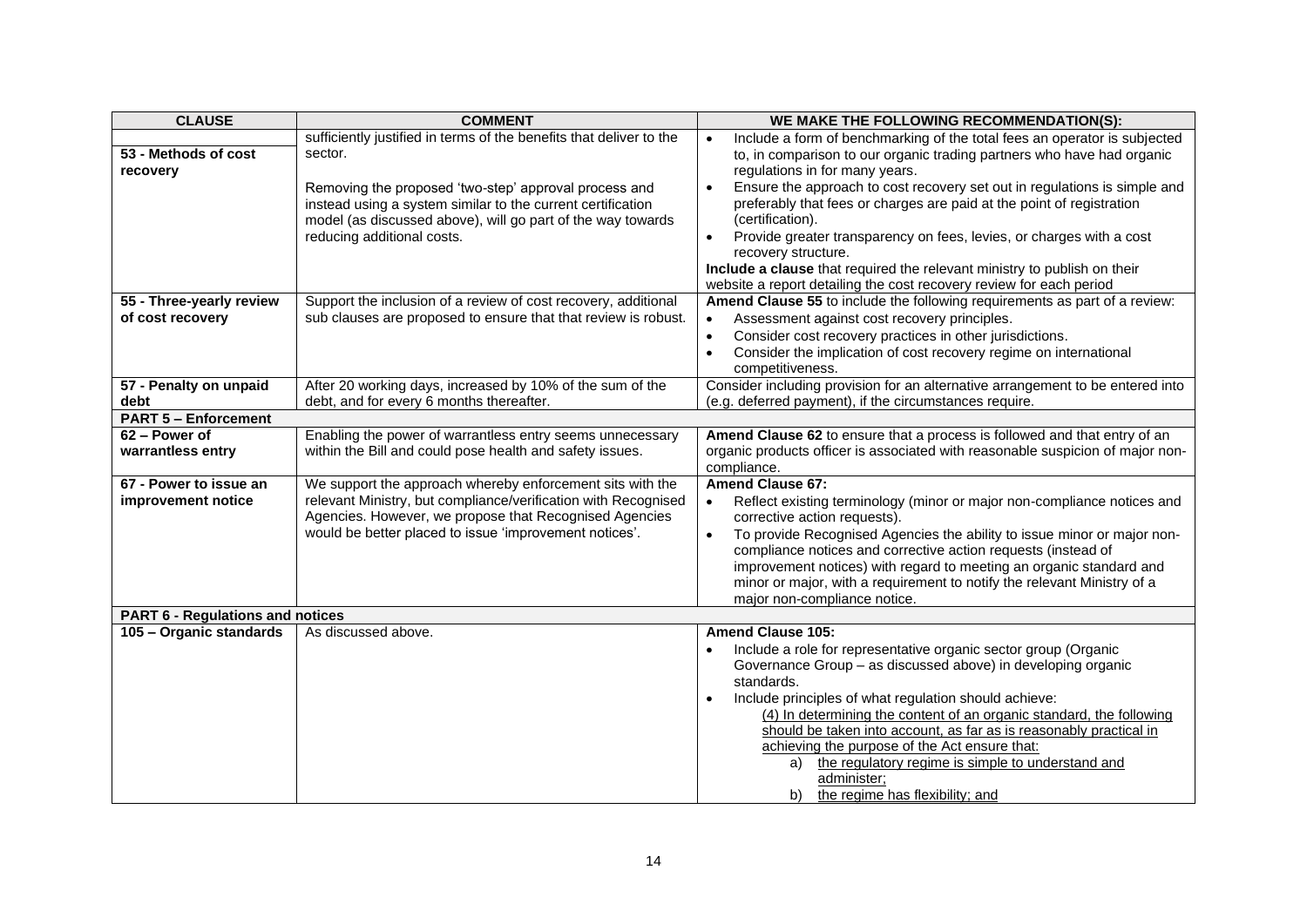| <b>CLAUSE</b>                                | <b>COMMENT</b>                                                                                                                                                                                                                                                                                      | WE MAKE THE FOLLOWING RECOMMENDATION(S):                                                                                                                                                                                                                                                                                                                                                                                                                                                                                                                                                                                       |
|----------------------------------------------|-----------------------------------------------------------------------------------------------------------------------------------------------------------------------------------------------------------------------------------------------------------------------------------------------------|--------------------------------------------------------------------------------------------------------------------------------------------------------------------------------------------------------------------------------------------------------------------------------------------------------------------------------------------------------------------------------------------------------------------------------------------------------------------------------------------------------------------------------------------------------------------------------------------------------------------------------|
| 53 - Methods of cost<br>recovery             | sufficiently justified in terms of the benefits that deliver to the<br>sector.<br>Removing the proposed 'two-step' approval process and<br>instead using a system similar to the current certification<br>model (as discussed above), will go part of the way towards<br>reducing additional costs. | Include a form of benchmarking of the total fees an operator is subjected<br>$\bullet$<br>to, in comparison to our organic trading partners who have had organic<br>regulations in for many years.<br>Ensure the approach to cost recovery set out in regulations is simple and<br>preferably that fees or charges are paid at the point of registration<br>(certification).<br>Provide greater transparency on fees, levies, or charges with a cost<br>recovery structure.<br>Include a clause that required the relevant ministry to publish on their<br>website a report detailing the cost recovery review for each period |
| 55 - Three-yearly review<br>of cost recovery | Support the inclusion of a review of cost recovery, additional<br>sub clauses are proposed to ensure that that review is robust.                                                                                                                                                                    | Amend Clause 55 to include the following requirements as part of a review:<br>Assessment against cost recovery principles.<br>$\bullet$<br>Consider cost recovery practices in other jurisdictions.<br>$\bullet$<br>Consider the implication of cost recovery regime on international<br>$\bullet$<br>competitiveness.                                                                                                                                                                                                                                                                                                         |
| 57 - Penalty on unpaid<br>debt               | After 20 working days, increased by 10% of the sum of the<br>debt, and for every 6 months thereafter.                                                                                                                                                                                               | Consider including provision for an alternative arrangement to be entered into<br>(e.g. deferred payment), if the circumstances require.                                                                                                                                                                                                                                                                                                                                                                                                                                                                                       |
| <b>PART 5 - Enforcement</b>                  |                                                                                                                                                                                                                                                                                                     |                                                                                                                                                                                                                                                                                                                                                                                                                                                                                                                                                                                                                                |
| 62 – Power of<br>warrantless entry           | Enabling the power of warrantless entry seems unnecessary<br>within the Bill and could pose health and safety issues.                                                                                                                                                                               | Amend Clause 62 to ensure that a process is followed and that entry of an<br>organic products officer is associated with reasonable suspicion of major non-<br>compliance.                                                                                                                                                                                                                                                                                                                                                                                                                                                     |
| 67 - Power to issue an<br>improvement notice | We support the approach whereby enforcement sits with the<br>relevant Ministry, but compliance/verification with Recognised<br>Agencies. However, we propose that Recognised Agencies<br>would be better placed to issue 'improvement notices'.                                                     | <b>Amend Clause 67:</b><br>Reflect existing terminology (minor or major non-compliance notices and<br>$\bullet$<br>corrective action requests).<br>To provide Recognised Agencies the ability to issue minor or major non-<br>$\bullet$<br>compliance notices and corrective action requests (instead of<br>improvement notices) with regard to meeting an organic standard and<br>minor or major, with a requirement to notify the relevant Ministry of a<br>major non-compliance notice.                                                                                                                                     |
| <b>PART 6 - Regulations and notices</b>      |                                                                                                                                                                                                                                                                                                     |                                                                                                                                                                                                                                                                                                                                                                                                                                                                                                                                                                                                                                |
| 105 - Organic standards                      | As discussed above.                                                                                                                                                                                                                                                                                 | <b>Amend Clause 105:</b><br>Include a role for representative organic sector group (Organic<br>$\bullet$<br>Governance Group - as discussed above) in developing organic<br>standards.<br>Include principles of what regulation should achieve:<br>(4) In determining the content of an organic standard, the following<br>should be taken into account, as far as is reasonably practical in<br>achieving the purpose of the Act ensure that:<br>the regulatory regime is simple to understand and<br>a)<br>administer;<br>b) the regime has flexibility; and                                                                 |